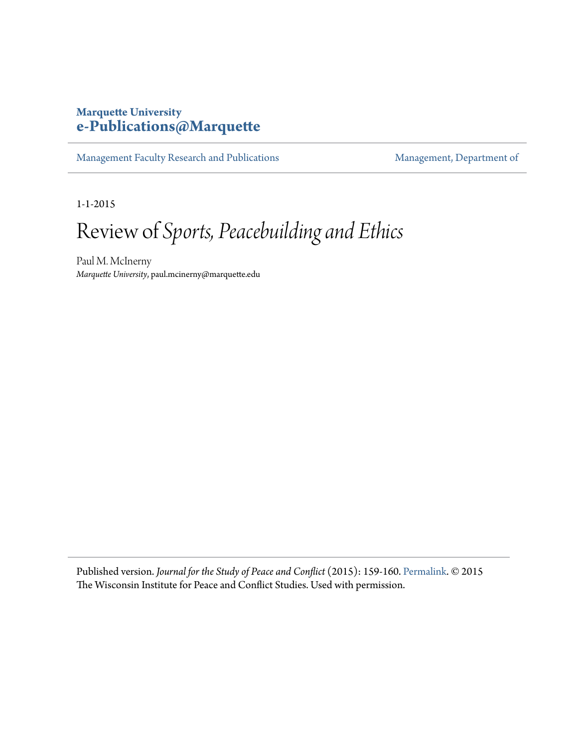## **Marquette University [e-Publications@Marquette](https://epublications.marquette.edu)**

[Management Faculty Research and Publications](https://epublications.marquette.edu/mgmt_fac) [Management, Department of](https://epublications.marquette.edu/mgmt)

1-1-2015

## Review of *Sports, Peacebuilding and Ethics*

Paul M. McInerny *Marquette University*, paul.mcinerny@marquette.edu

Published version. *Journal for the Study of Peace and Conflict* (2015): 159-160. [Permalink](https://www.uwsp.edu/cols-ap/WIPCS/Pages/journal.aspx). © 2015 The Wisconsin Institute for Peace and Conflict Studies. Used with permission.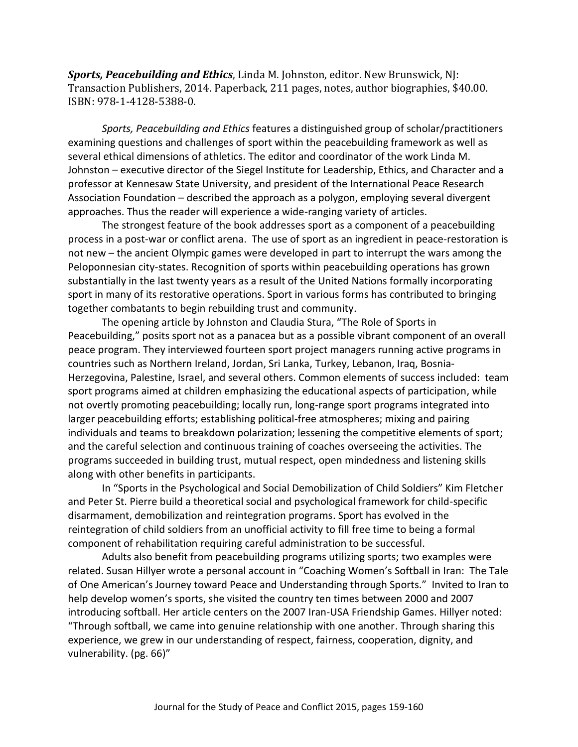*Sports, Peacebuilding and Ethics*, Linda M. Johnston, editor. New Brunswick, NJ: Transaction Publishers, 2014. Paperback, 211 pages, notes, author biographies, \$40.00. ISBN: 978-1-4128-5388-0.

*Sports, Peacebuilding and Ethics* features a distinguished group of scholar/practitioners examining questions and challenges of sport within the peacebuilding framework as well as several ethical dimensions of athletics. The editor and coordinator of the work Linda M. Johnston – executive director of the Siegel Institute for Leadership, Ethics, and Character and a professor at Kennesaw State University, and president of the International Peace Research Association Foundation – described the approach as a polygon, employing several divergent approaches. Thus the reader will experience a wide-ranging variety of articles.

The strongest feature of the book addresses sport as a component of a peacebuilding process in a post-war or conflict arena. The use of sport as an ingredient in peace-restoration is not new – the ancient Olympic games were developed in part to interrupt the wars among the Peloponnesian city-states. Recognition of sports within peacebuilding operations has grown substantially in the last twenty years as a result of the United Nations formally incorporating sport in many of its restorative operations. Sport in various forms has contributed to bringing together combatants to begin rebuilding trust and community.

The opening article by Johnston and Claudia Stura, "The Role of Sports in Peacebuilding," posits sport not as a panacea but as a possible vibrant component of an overall peace program. They interviewed fourteen sport project managers running active programs in countries such as Northern Ireland, Jordan, Sri Lanka, Turkey, Lebanon, Iraq, Bosnia-Herzegovina, Palestine, Israel, and several others. Common elements of success included: team sport programs aimed at children emphasizing the educational aspects of participation, while not overtly promoting peacebuilding; locally run, long-range sport programs integrated into larger peacebuilding efforts; establishing political-free atmospheres; mixing and pairing individuals and teams to breakdown polarization; lessening the competitive elements of sport; and the careful selection and continuous training of coaches overseeing the activities. The programs succeeded in building trust, mutual respect, open mindedness and listening skills along with other benefits in participants.

In "Sports in the Psychological and Social Demobilization of Child Soldiers" Kim Fletcher and Peter St. Pierre build a theoretical social and psychological framework for child-specific disarmament, demobilization and reintegration programs. Sport has evolved in the reintegration of child soldiers from an unofficial activity to fill free time to being a formal component of rehabilitation requiring careful administration to be successful.

Adults also benefit from peacebuilding programs utilizing sports; two examples were related. Susan Hillyer wrote a personal account in "Coaching Women's Softball in Iran: The Tale of One American's Journey toward Peace and Understanding through Sports." Invited to Iran to help develop women's sports, she visited the country ten times between 2000 and 2007 introducing softball. Her article centers on the 2007 Iran-USA Friendship Games. Hillyer noted: "Through softball, we came into genuine relationship with one another. Through sharing this experience, we grew in our understanding of respect, fairness, cooperation, dignity, and vulnerability. (pg. 66)"